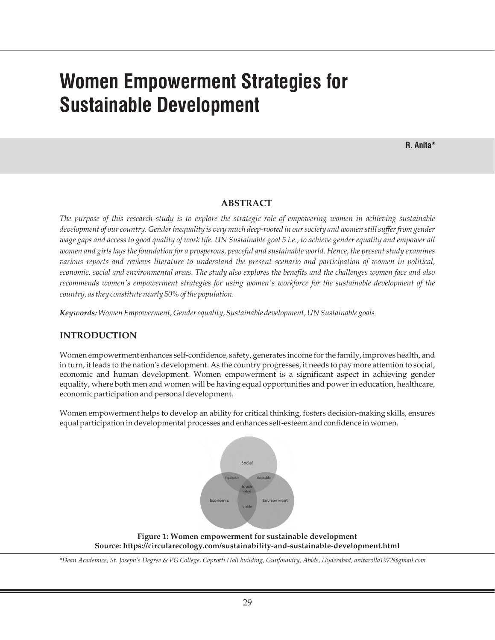# **Women Empowerment Strategies for Sustainable Development**

# **ABSTRACT**

*The purpose of this research study is to explore the strategic role of empowering women in achieving sustainable development of our country. Gender inequality is very much deep-rooted in our society and women still suffer from gender wage gaps and access to good quality of work life. UN Sustainable goal 5 i.e., to achieve gender equality and empower all women and girls lays the foundation for a prosperous, peaceful and sustainable world. Hence, the present study examines various reports and reviews literature to understand the present scenario and participation of women in political, economic, social and environmental areas. The study also explores the benefits and the challenges women face and also recommends women's empowerment strategies for using women's workforce for the sustainable development of the country, as they constitute nearly 50% of the population.*

*Keywords: Women Empowerment, Gender equality, Sustainable development, UN Sustainable goals*

# **INTRODUCTION**

Women empowerment enhances self-confidence, safety, generates income for the family, improves health, and in turn, it leads to the nation's development. As the country progresses, it needs to pay more attention to social, economic and human development. Women empowerment is a significant aspect in achieving gender equality, where both men and women will be having equal opportunities and power in education, healthcare, economic participation and personal development.

Women empowerment helps to develop an ability for critical thinking, fosters decision-making skills, ensures equal participation in developmental processes and enhances self-esteem and confidence in women.



**Figure 1: Women empowerment for sustainable development Source: https://circularecology.com/sustainability-and-sustainable-development.html**

*\*Dean Academics, St. Joseph's Degree & PG College, Caprotti Hall building, Gunfoundry, Abids, Hyderabad, anitarolla1972@gmail.com*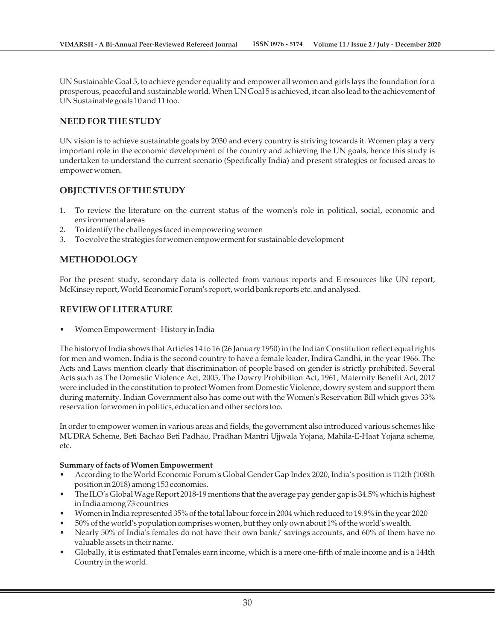UN Sustainable Goal 5, to achieve gender equality and empower all women and girls lays the foundation for a prosperous, peaceful and sustainable world. When UN Goal 5 is achieved, it can also lead to the achievement of UN Sustainable goals 10 and 11 too.

#### **NEED FOR THE STUDY**

UN vision is to achieve sustainable goals by 2030 and every country is striving towards it. Women play a very important role in the economic development of the country and achieving the UN goals, hence this study is undertaken to understand the current scenario (Specifically India) and present strategies or focused areas to empower women.

#### **OBJECTIVES OF THE STUDY**

- 1. To review the literature on the current status of the women's role in political, social, economic and environmental areas
- 2. To identify the challenges faced in empowering women
- 3. To evolve the strategies for women empowerment for sustainable development

# **METHODOLOGY**

For the present study, secondary data is collected from various reports and E-resources like UN report, McKinsey report, World Economic Forum's report, world bank reports etc. and analysed.

#### **REVIEW OF LITERATURE**

• Women Empowerment - History in India

The history of India shows that Articles 14 to 16 (26 January 1950) in the Indian Constitution reflect equal rights for men and women. India is the second country to have a female leader, Indira Gandhi, in the year 1966. The Acts and Laws mention clearly that discrimination of people based on gender is strictly prohibited. Several Acts such as The Domestic Violence Act, 2005, The Dowry Prohibition Act, 1961, Maternity Benefit Act, 2017 were included in the constitution to protect Women from Domestic Violence, dowry system and support them during maternity. Indian Government also has come out with the Women's Reservation Bill which gives 33% reservation for women in politics, education and other sectors too.

In order to empower women in various areas and fields, the government also introduced various schemes like MUDRA Scheme, Beti Bachao Beti Padhao, Pradhan Mantri Ujjwala Yojana, Mahila-E-Haat Yojana scheme, etc.

#### **Summary of facts of Women Empowerment**

- According to the World Economic Forum's Global Gender Gap Index 2020, India's position is 112th (108th position in 2018) among 153 economies.
- The ILO's Global Wage Report 2018-19 mentions that the average pay gender gap is 34.5% which is highest in India among 73 countries
- Women in India represented 35% of the total labour force in 2004 which reduced to 19.9% in the year 2020
- 50% of the world's population comprises women, but they only own about 1% of the world's wealth.
- Nearly 50% of India's females do not have their own bank/ savings accounts, and 60% of them have no valuable assets in their name.
- Globally, it is estimated that Females earn income, which is a mere one-fifth of male income and is a 144th Country in the world.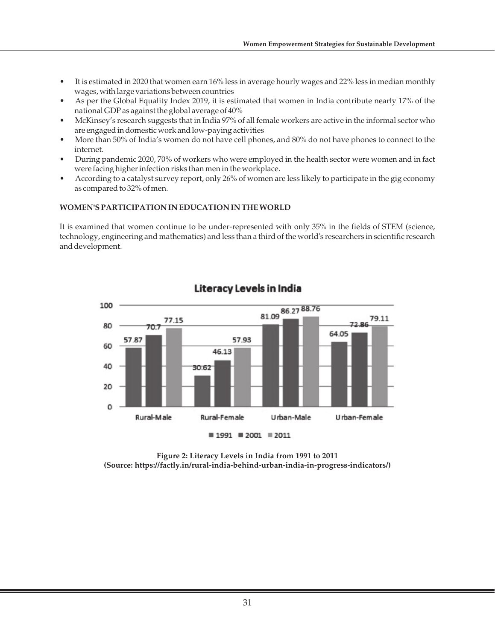- It is estimated in 2020 that women earn 16% less in average hourly wages and 22% less in median monthly wages, with large variations between countries
- As per the Global Equality Index 2019, it is estimated that women in India contribute nearly 17% of the national GDP as against the global average of 40%
- McKinsey's research suggests that in India 97% of all female workers are active in the informal sector who are engaged in domestic work and low-paying activities
- More than 50% of India's women do not have cell phones, and 80% do not have phones to connect to the internet.
- During pandemic 2020, 70% of workers who were employed in the health sector were women and in fact were facing higher infection risks than men in the workplace.
- According to a catalyst survey report, only 26% of women are less likely to participate in the gig economy as compared to 32% of men.

# **WOMEN'S PARTICIPATION IN EDUCATION IN THE WORLD**

It is examined that women continue to be under-represented with only 35% in the fields of STEM (science, technology, engineering and mathematics) and less than a third of the world's researchers in scientific research and development.



# Literacy Levels in India

**Figure 2: Literacy Levels in India from 1991 to 2011 (Source: https://factly.in/rural-india-behind-urban-india-in-progress-indicators/)**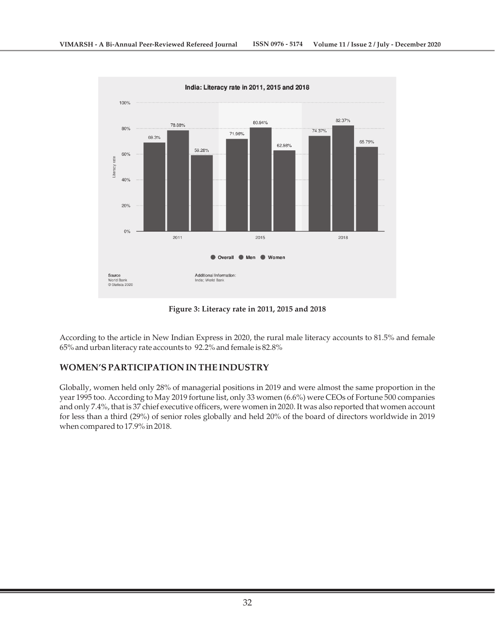

**Figure 3: Literacy rate in 2011, 2015 and 2018**

According to the article in New Indian Express in 2020, the rural male literacy accounts to 81.5% and female 65% and urban literacy rate accounts to 92.2% and female is 82.8%

# **WOMEN'S PARTICIPATION IN THE INDUSTRY**

Globally, women held only 28% of managerial positions in 2019 and were almost the same proportion in the year 1995 too. According to May 2019 fortune list, only 33 women (6.6%) were CEOs of Fortune 500 companies and only 7.4%, that is 37 chief executive officers, were women in 2020. It was also reported that women account for less than a third (29%) of senior roles globally and held 20% of the board of directors worldwide in 2019 when compared to 17.9% in 2018.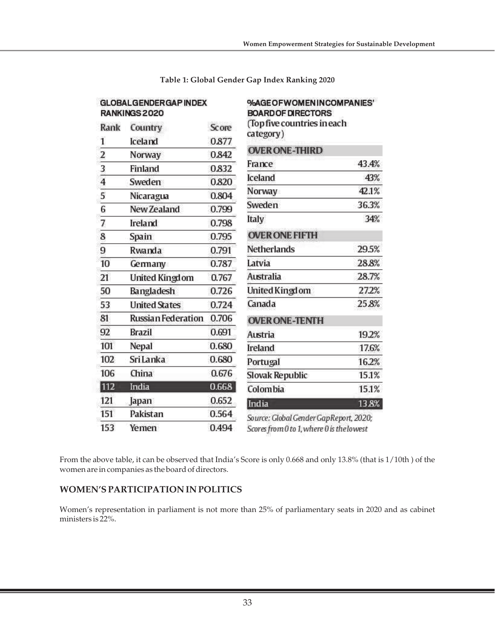| <b>GLOBALGENDERGAP INDEX</b><br>RANKINGS 2020 |                           |       | %AGEOFWOMENINCOMPANIES'<br><b>BOARD OF DIRECTORS</b> |       |
|-----------------------------------------------|---------------------------|-------|------------------------------------------------------|-------|
| Rank                                          | Country                   | Score | (Top five countries in each<br>category)             |       |
| 1                                             | Iceland                   | 0.877 |                                                      |       |
| $\overline{\mathbf{2}}$                       | Norway                    | 0.842 | <b>OVER ONE-THIRD</b>                                |       |
| 3                                             | Finland                   | 0.832 | France                                               | 43.4% |
| $\overline{4}$                                | Sweden                    | 0.820 | <b>Iceland</b>                                       | 43%   |
| 5                                             | Nicaragua                 | 0.804 | Norway                                               | 42.1% |
| $\overline{6}$                                | New Zealand               | 0.799 | Sweden                                               | 36.3% |
| 7                                             | Ireland                   | 0.798 | Italy                                                | 34%   |
| 8                                             | Spain                     | 0.795 | <b>OVER ONE FIFTH</b>                                |       |
| 9                                             | Rwanda                    | 0.791 | <b>Netherlands</b>                                   | 29.5% |
| 10                                            | Germany                   | 0.787 | Latvia                                               | 28.8% |
| 21                                            | <b>United Kingdom</b>     | 0.767 | <b>Australia</b>                                     | 28.7% |
| 50                                            | Bangladesh                | 0.726 | United Kingdom                                       | 27.2% |
| 53                                            | <b>United States</b>      | 0.724 | Canada                                               | 25.8% |
| 81                                            | <b>Russian Federation</b> | 0.706 | <b>OVER ONE-TENTH</b>                                |       |
| 92                                            | <b>Brazil</b>             | 0.691 | <b>Austria</b>                                       | 19.2% |
| 101                                           | Nepal                     | 0.680 | Ireland                                              | 17.6% |
| 102                                           | <b>Sri Lanka</b>          | 0.680 | Portugal                                             | 16.2% |
| 106                                           | China                     | 0.676 | <b>Slovak Republic</b>                               | 15.1% |
| 112                                           | India                     | 0.668 | Colombia                                             | 15.1% |
| 121                                           | Japan                     | 0.652 | India                                                | 13.8% |
| 151                                           | Pakistan                  | 0.564 | Source: Global Gender GapReport, 2020;               |       |
| 153                                           | Yemen                     | 0.494 | Scores from 0 to 1, where 0 is the lowest            |       |

**Table 1: Global Gender Gap Index Ranking 2020**

From the above table, it can be observed that India's Score is only 0.668 and only 13.8% (that is 1/10th ) of the women are in companies as the board of directors.

# **WOMEN'S PARTICIPATION IN POLITICS**

Women's representation in parliament is not more than 25% of parliamentary seats in 2020 and as cabinet ministers is 22%.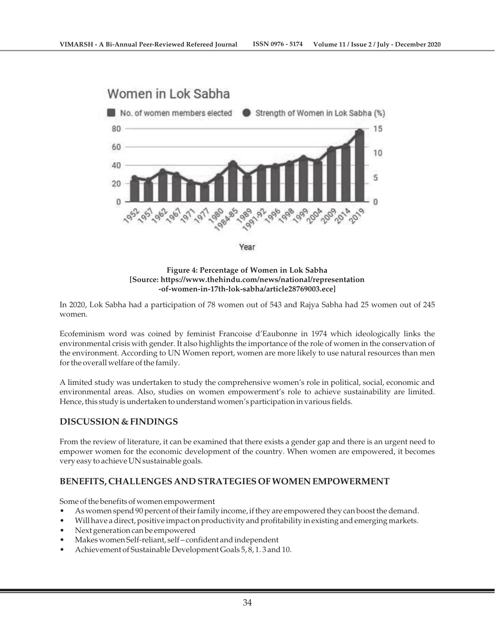

**Figure 4: Percentage of Women in Lok Sabha [Source: https://www.thehindu.com/news/national/representation -of-women-in-17th-lok-sabha/article28769003.ece]**

In 2020, Lok Sabha had a participation of 78 women out of 543 and Rajya Sabha had 25 women out of 245 women.

Ecofeminism word was coined by feminist Francoise d'Eaubonne in 1974 which ideologically links the environmental crisis with gender. It also highlights the importance of the role of women in the conservation of the environment. According to UN Women report, women are more likely to use natural resources than men for the overall welfare of the family.

A limited study was undertaken to study the comprehensive women's role in political, social, economic and environmental areas. Also, studies on women empowerment's role to achieve sustainability are limited. Hence, this study is undertaken to understand women's participation in various fields.

# **DISCUSSION & FINDINGS**

From the review of literature, it can be examined that there exists a gender gap and there is an urgent need to empower women for the economic development of the country. When women are empowered, it becomes very easy to achieve UN sustainable goals.

#### **BENEFITS, CHALLENGES AND STRATEGIES OF WOMEN EMPOWERMENT**

Some of the benefits of women empowerment

- As women spend 90 percent of their family income, if they are empowered they can boost the demand.
- Will have a direct, positive impact on productivity and profitability in existing and emerging markets.
- Next generation can be empowered
- Makes women Self-reliant, self confident and independent
- Achievement of Sustainable Development Goals 5, 8, 1. 3 and 10.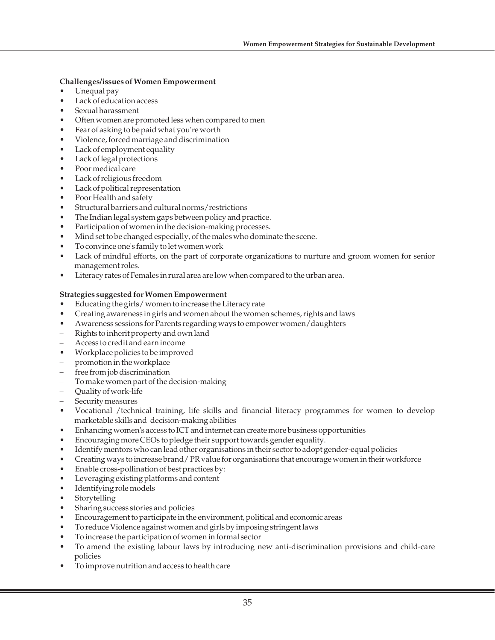#### **Challenges/issues of Women Empowerment**

- Unequal pay
- Lack of education access
- Sexual harassment
- Often women are promoted less when compared to men
- Fear of asking to be paid what you're worth
- Violence, forced marriage and discrimination
- Lack of employment equality
- Lack of legal protections
- Poor medical care
- Lack of religious freedom
- Lack of political representation
- Poor Health and safety
- Structural barriers and cultural norms/restrictions
- The Indian legal system gaps between policy and practice.
- Participation of women in the decision-making processes.
- Mind set to be changed especially, of the males who dominate the scene.
- To convince one's family to let women work
- Lack of mindful efforts, on the part of corporate organizations to nurture and groom women for senior management roles.
- Literacy rates of Females in rural area are low when compared to the urban area.

#### **Strategies suggested for Women Empowerment**

- Educating the girls/ women to increase the Literacy rate
- Creating awareness in girls and women about the women schemes, rights and laws
- Awareness sessions for Parents regarding ways to empower women/daughters
- Rights to inherit property and own land
- Access to credit and earn income
- Workplace policies to be improved
- promotion in the workplace
- free from job discrimination
- To make women part of the decision-making
- Quality of work-life
- Security measures
- Vocational /technical training, life skills and financial literacy programmes for women to develop marketable skills and decision-making abilities
- Enhancing women's access to ICT and internet can create more business opportunities
- Encouraging more CEOs to pledge their support towards gender equality.
- Identify mentors who can lead other organisations in their sector to adopt gender-equal policies
- Creating ways to increase brand/ PR value for organisations that encourage women in their workforce
- Enable cross-pollination of best practices by:
- Leveraging existing platforms and content
- Identifying role models
- **Storytelling**
- Sharing success stories and policies
- Encouragement to participate in the environment, political and economic areas
- To reduce Violence against women and girls by imposing stringent laws
- To increase the participation of women in formal sector
- To amend the existing labour laws by introducing new anti-discrimination provisions and child-care policies
- To improve nutrition and access to health care